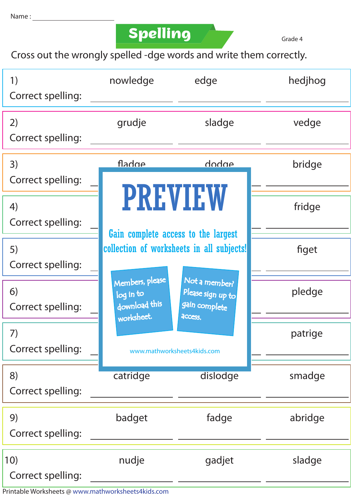## **Spelling**

Grade 4

Cross out the wrongly spelled -dge words and write them correctly.

| 1)<br>Correct spelling:  | nowledge                                                                         | edge                                                | hedjhog |
|--------------------------|----------------------------------------------------------------------------------|-----------------------------------------------------|---------|
| 2)<br>Correct spelling:  | grudje                                                                           | sladge                                              | vedge   |
| 3)<br>Correct spelling:  | <u>Anhaft</u>                                                                    | dodae                                               | bridge  |
| 4)<br>Correct spelling:  | <b>PREVIEW</b>                                                                   | fridge                                              |         |
| 5)<br>Correct spelling:  | Gain complete access to the largest<br>collection of worksheets in all subjects! |                                                     | figet   |
| 6)<br>Correct spelling:  | Members, please<br>log in to<br>download this                                    | Not a member?<br>Please sign up to<br>gain complete | pledge  |
| 7)<br>Correct spelling:  | worksheet.<br>access.<br>www.mathworksheets4kids.com                             |                                                     | patrige |
| 8)<br>Correct spelling:  | catridge                                                                         | dislodge                                            | smadge  |
| 9)<br>Correct spelling:  | badget                                                                           | fadge                                               | abridge |
| 10)<br>Correct spelling: | nudje                                                                            | gadjet                                              | sladge  |

Printable Worksheets @ www.mathworksheets4kids.com